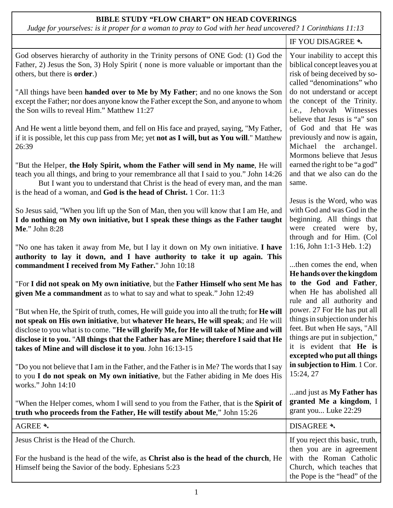## **BIBLE STUDY "FLOW CHART" ON HEAD COVERINGS**

| DIDLE STODT FLOW CHANT ON HEAD COVENINGS<br>Judge for yourselves: is it proper for a woman to pray to God with her head uncovered? 1 Corinthians 11:13                                                                                                                                                                                                                                                                             |                                                                                                                                                                                             |
|------------------------------------------------------------------------------------------------------------------------------------------------------------------------------------------------------------------------------------------------------------------------------------------------------------------------------------------------------------------------------------------------------------------------------------|---------------------------------------------------------------------------------------------------------------------------------------------------------------------------------------------|
|                                                                                                                                                                                                                                                                                                                                                                                                                                    | IF YOU DISAGREE                                                                                                                                                                             |
| God observes hierarchy of authority in the Trinity persons of ONE God: (1) God the<br>Father, 2) Jesus the Son, 3) Holy Spirit (none is more valuable or important than the<br>others, but there is <b>order</b> .)                                                                                                                                                                                                                | Your inability to accept this<br>biblical concept leaves you at<br>risk of being deceived by so-<br>called "denominations" who                                                              |
| "All things have been handed over to Me by My Father; and no one knows the Son<br>except the Father; nor does anyone know the Father except the Son, and anyone to whom<br>the Son wills to reveal Him." Matthew 11:27                                                                                                                                                                                                             | do not understand or accept<br>the concept of the Trinity.<br>i.e., Jehovah Witnesses<br>believe that Jesus is "a" son                                                                      |
| And He went a little beyond them, and fell on His face and prayed, saying, "My Father,<br>if it is possible, let this cup pass from Me; yet not as I will, but as You will." Matthew<br>26:39                                                                                                                                                                                                                                      | of God and that He was<br>previously and now is again,<br>Michael the archangel.<br>Mormons believe that Jesus                                                                              |
| "But the Helper, the Holy Spirit, whom the Father will send in My name, He will<br>teach you all things, and bring to your remembrance all that I said to you." John 14:26<br>But I want you to understand that Christ is the head of every man, and the man<br>is the head of a woman, and God is the head of Christ. 1 Cor. 11:3                                                                                                 | earned the right to be "a god"<br>and that we also can do the<br>same.                                                                                                                      |
| So Jesus said, "When you lift up the Son of Man, then you will know that I am He, and<br>I do nothing on My own initiative, but I speak these things as the Father taught<br>Me." John 8:28                                                                                                                                                                                                                                        | Jesus is the Word, who was<br>with God and was God in the<br>beginning. All things that<br>were created were<br>by,<br>through and for Him. (Col                                            |
| "No one has taken it away from Me, but I lay it down on My own initiative. I have<br>authority to lay it down, and I have authority to take it up again. This<br>commandment I received from My Father." John 10:18                                                                                                                                                                                                                | 1:16, John 1:1-3 Heb. 1:2)<br>then comes the end, when                                                                                                                                      |
| "For I did not speak on My own initiative, but the Father Himself who sent Me has<br>given Me a commandment as to what to say and what to speak." John 12:49                                                                                                                                                                                                                                                                       | He hands over the kingdom<br>to the God and Father,<br>when He has abolished all<br>rule and all authority and                                                                              |
| "But when He, the Spirit of truth, comes, He will guide you into all the truth; for He will<br>not speak on His own initiative, but whatever He hears, He will speak; and He will<br>disclose to you what is to come. "He will glorify Me, for He will take of Mine and will<br>disclose it to you. "All things that the Father has are Mine; therefore I said that He<br>takes of Mine and will disclose it to you. John 16:13-15 | power. 27 For He has put all<br>things in subjection under his<br>feet. But when He says, "All<br>things are put in subjection,"<br>it is evident that He is<br>excepted who put all things |
| "Do you not believe that I am in the Father, and the Father is in Me? The words that I say<br>to you I do not speak on My own initiative, but the Father abiding in Me does His<br>works." John 14:10                                                                                                                                                                                                                              | in subjection to Him. 1 Cor.<br>15:24, 27                                                                                                                                                   |
| "When the Helper comes, whom I will send to you from the Father, that is the Spirit of<br>truth who proceeds from the Father, He will testify about Me," John 15:26                                                                                                                                                                                                                                                                | and just as My Father has<br>granted Me a kingdom, I<br>grant you Luke 22:29                                                                                                                |
| AGREE ₹                                                                                                                                                                                                                                                                                                                                                                                                                            | <b>DISAGREE</b>                                                                                                                                                                             |
| Jesus Christ is the Head of the Church.<br>For the husband is the head of the wife, as <b>Christ also is the head of the church</b> , He<br>Himself being the Savior of the body. Ephesians 5:23                                                                                                                                                                                                                                   | If you reject this basic, truth,<br>then you are in agreement<br>with the Roman Catholic<br>Church, which teaches that<br>the Pope is the "head" of the                                     |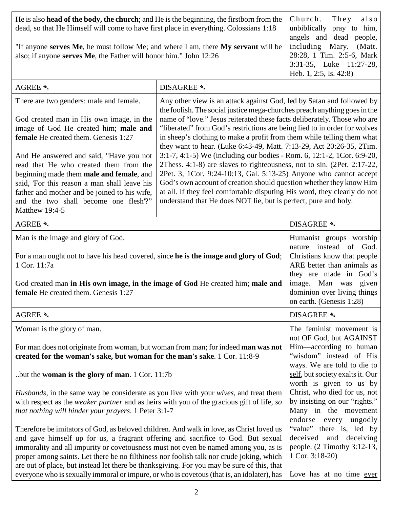| He is also head of the body, the church; and He is the beginning, the firstborn from the<br>dead, so that He Himself will come to have first place in everything. Colossians 1:18<br>"If anyone serves Me, he must follow Me; and where I am, there My servant will be<br>also; if anyone serves Me, the Father will honor him." John 12:26                                                                                                                                                                                                                                    |                                                                                                                                                                                                                                                                                                                                                                                                                                                                                                                                                                                                                                                                                                                                                                                                                                                                                                               | They<br>Church.<br>also<br>unbiblically pray to him,<br>angels and dead people,<br>including Mary.<br>(Matt.<br>28:28, 1 Tim. 2:5-6, Mark<br>3:31-35, Luke 11:27-28,<br>Heb. 1, 2:5, Is. 42:8)                                                                                                                           |
|--------------------------------------------------------------------------------------------------------------------------------------------------------------------------------------------------------------------------------------------------------------------------------------------------------------------------------------------------------------------------------------------------------------------------------------------------------------------------------------------------------------------------------------------------------------------------------|---------------------------------------------------------------------------------------------------------------------------------------------------------------------------------------------------------------------------------------------------------------------------------------------------------------------------------------------------------------------------------------------------------------------------------------------------------------------------------------------------------------------------------------------------------------------------------------------------------------------------------------------------------------------------------------------------------------------------------------------------------------------------------------------------------------------------------------------------------------------------------------------------------------|--------------------------------------------------------------------------------------------------------------------------------------------------------------------------------------------------------------------------------------------------------------------------------------------------------------------------|
| AGREE ₹<br>DISAGREE                                                                                                                                                                                                                                                                                                                                                                                                                                                                                                                                                            |                                                                                                                                                                                                                                                                                                                                                                                                                                                                                                                                                                                                                                                                                                                                                                                                                                                                                                               |                                                                                                                                                                                                                                                                                                                          |
| There are two genders: male and female.<br>God created man in His own image, in the<br>image of God He created him; male and<br>female He created them. Genesis 1:27<br>And He answered and said, "Have you not<br>read that He who created them from the<br>beginning made them male and female, and<br>said, 'For this reason a man shall leave his<br>father and mother and be joined to his wife,<br>and the two shall become one flesh'?"<br>Matthew 19:4-5                                                                                                               | Any other view is an attack against God, led by Satan and followed by<br>the foolish. The social justice mega-churches preach anything goes in the<br>name of "love." Jesus reiterated these facts deliberately. Those who are<br>"liberated" from God's restrictions are being lied to in order for wolves<br>in sheep's clothing to make a profit from them while telling them what<br>they want to hear. (Luke 6:43-49, Matt. 7:13-29, Act 20:26-35, 2Tim.<br>3:1-7, 4:1-5) We (including our bodies - Rom. 6, 12:1-2, 1Cor. 6:9-20,<br>2Thess. 4:1-8) are slaves to righteousness, not to sin. (2Pet. 2:17-22,<br>2Pet. 3, 1Cor. 9:24-10:13, Gal. 5:13-25) Anyone who cannot accept<br>God's own account of creation should question whether they know Him<br>at all. If they feel comfortable disputing His word, they clearly do not<br>understand that He does NOT lie, but is perfect, pure and holy. |                                                                                                                                                                                                                                                                                                                          |
| <b>AGREE</b>                                                                                                                                                                                                                                                                                                                                                                                                                                                                                                                                                                   | <b>DISAGREE</b>                                                                                                                                                                                                                                                                                                                                                                                                                                                                                                                                                                                                                                                                                                                                                                                                                                                                                               |                                                                                                                                                                                                                                                                                                                          |
| Man is the image and glory of God.<br>For a man ought not to have his head covered, since he is the image and glory of God;<br>1 Cor. 11:7a<br>God created man in His own image, in the image of God He created him; male and<br>female He created them. Genesis 1:27                                                                                                                                                                                                                                                                                                          |                                                                                                                                                                                                                                                                                                                                                                                                                                                                                                                                                                                                                                                                                                                                                                                                                                                                                                               | Humanist groups worship<br>nature instead of God.<br>Christians know that people<br>ARE better than animals as<br>they are made in God's<br>image. Man was<br>given<br>dominion over living things<br>on earth. (Genesis 1:28)                                                                                           |
| AGREE ₹                                                                                                                                                                                                                                                                                                                                                                                                                                                                                                                                                                        |                                                                                                                                                                                                                                                                                                                                                                                                                                                                                                                                                                                                                                                                                                                                                                                                                                                                                                               | DISAGREE                                                                                                                                                                                                                                                                                                                 |
| Woman is the glory of man.<br>For man does not originate from woman, but woman from man; for indeed man was not<br>created for the woman's sake, but woman for the man's sake. 1 Cor. 11:8-9<br>but the woman is the glory of man. $1 \text{ Cor. } 11:7b$<br>Husbands, in the same way be considerate as you live with your wives, and treat them<br>with respect as the <i>weaker partner</i> and as heirs with you of the gracious gift of life, so<br>that nothing will hinder your prayers. 1 Peter 3:1-7                                                                 |                                                                                                                                                                                                                                                                                                                                                                                                                                                                                                                                                                                                                                                                                                                                                                                                                                                                                                               | The feminist movement is<br>not OF God, but AGAINST<br>Him—according to human<br>"wisdom" instead of His<br>ways. We are told to die to<br>self, but society exalts it. Our<br>worth is given to us by<br>Christ, who died for us, not<br>by insisting on our "rights."<br>Many in the movement<br>endorse every ungodly |
| Therefore be imitators of God, as beloved children. And walk in love, as Christ loved us<br>and gave himself up for us, a fragrant offering and sacrifice to God. But sexual<br>immorality and all impurity or covetousness must not even be named among you, as is<br>1 Cor. 3:18-20)<br>proper among saints. Let there be no filthiness nor foolish talk nor crude joking, which<br>are out of place, but instead let there be thanksgiving. For you may be sure of this, that<br>everyone who is sexually immoral or impure, or who is covetous (that is, an idolater), has |                                                                                                                                                                                                                                                                                                                                                                                                                                                                                                                                                                                                                                                                                                                                                                                                                                                                                                               | "value" there is, led by<br>deceived and deceiving<br>people. $(2$ Timothy 3:12-13,<br>Love has at no time ever                                                                                                                                                                                                          |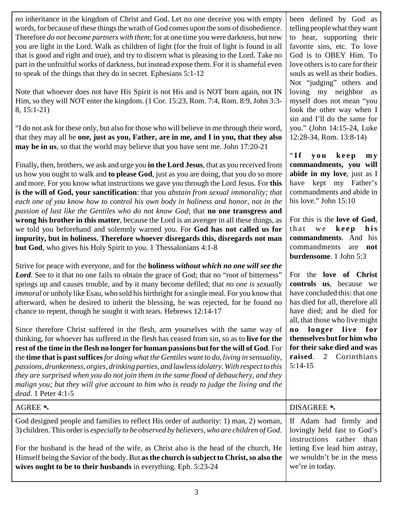| no inheritance in the kingdom of Christ and God. Let no one deceive you with empty<br>words, for because of these things the wrath of God comes upon the sons of disobedience.<br>Therefore do not become partners with them; for at one time you were darkness, but now<br>you are light in the Lord. Walk as children of light (for the fruit of light is found in all<br>that is good and right and true), and try to discern what is pleasing to the Lord. Take no<br>part in the unfruitful works of darkness, but instead expose them. For it is shameful even<br>to speak of the things that they do in secret. Ephesians 5:1-12                                                                                        | been defined by God as<br>telling people what they want<br>to hear, supporting their<br>favorite sins, etc. To love<br>God is to OBEY Him. To<br>love others is to care for their<br>souls as well as their bodies.                                              |
|--------------------------------------------------------------------------------------------------------------------------------------------------------------------------------------------------------------------------------------------------------------------------------------------------------------------------------------------------------------------------------------------------------------------------------------------------------------------------------------------------------------------------------------------------------------------------------------------------------------------------------------------------------------------------------------------------------------------------------|------------------------------------------------------------------------------------------------------------------------------------------------------------------------------------------------------------------------------------------------------------------|
| Note that whoever does not have His Spirit is not His and is NOT born again, not IN<br>Him, so they will NOT enter the kingdom. (1 Cor. 15:23, Rom. 7:4, Rom. 8:9, John 3:3-<br>$8, 15:1-21)$                                                                                                                                                                                                                                                                                                                                                                                                                                                                                                                                  | Not "judging" others and<br>loving my neighbor as<br>myself does not mean "you<br>look the other way when I<br>sin and I'll do the same for                                                                                                                      |
| "I do not ask for these only, but also for those who will believe in me through their word,<br>that they may all be one, just as you, Father, are in me, and I in you, that they also<br>may be in us, so that the world may believe that you have sent me. John 17:20-21                                                                                                                                                                                                                                                                                                                                                                                                                                                      | you." (John 14:15-24, Luke<br>12:28-34, Rom. 13:8-14)                                                                                                                                                                                                            |
| Finally, then, brothers, we ask and urge you in the Lord Jesus, that as you received from<br>us how you ought to walk and to please God, just as you are doing, that you do so more<br>and more. For you know what instructions we gave you through the Lord Jesus. For this<br>is the will of God, your sanctification: that you abstain from sexual immorality; that<br>each one of you know how to control his own body in holiness and honor, not in the<br>passion of lust like the Gentiles who do not know God; that no one transgress and<br>wrong his brother in this matter, because the Lord is an avenger in all these things, as<br>we told you beforehand and solemnly warned you. For God has not called us for | $\lq$ If<br>keep<br>you<br>$\mathbf{m} \mathbf{y}$<br>commandments, you will<br>abide in my love, just as I<br>have kept my Father's<br>commandments and abide in<br>his love." John 15:10<br>For this is the <b>love of God</b> ,<br>keep<br>that<br>w e<br>his |
| impurity, but in holiness. Therefore whoever disregards this, disregards not man<br><b>but God</b> , who gives his Holy Spirit to you. 1 Thessalonians 4:1-8                                                                                                                                                                                                                                                                                                                                                                                                                                                                                                                                                                   | commandments. And his<br>commandments<br>are <b>not</b><br>burdensome. 1 John 5:3                                                                                                                                                                                |
| Strive for peace with everyone, and for the holiness without which no one will see the<br>Lord. See to it that no one fails to obtain the grace of God; that no "root of bitterness"<br>springs up and causes trouble, and by it many become defiled; that no one is sexually<br><i>immoral</i> or unholy like Esau, who sold his birthright for a single meal. For you know that<br>afterward, when he desired to inherit the blessing, he was rejected, for he found no<br>chance to repent, though he sought it with tears. Hebrews 12:14-17                                                                                                                                                                                | For the love of Christ<br>controls us, because we<br>have concluded this: that one<br>has died for all, therefore all<br>have died; and he died for<br>all, that those who live might                                                                            |
| Since therefore Christ suffered in the flesh, arm yourselves with the same way of<br>thinking, for whoever has suffered in the flesh has ceased from sin, so as to live for the<br>rest of the time in the flesh no longer for human passions but for the will of God. For<br>the time that is past suffices for doing what the Gentiles want to do, living in sensuality,<br>passions, drunkenness, orgies, drinking parties, and lawless idolatry. With respect to this<br>they are surprised when you do not join them in the same flood of debauchery, and they<br>malign you; but they will give account to him who is ready to judge the living and the<br>dead. 1 Peter 4:1-5                                           | longer live<br>for<br>$\mathbf{n}\,\mathbf{o}$<br>themselves but for him who<br>for their sake died and was<br>raised.<br>Corinthians<br>2<br>$5:14-15$                                                                                                          |
| <b>AGREE</b>                                                                                                                                                                                                                                                                                                                                                                                                                                                                                                                                                                                                                                                                                                                   | <b>DISAGREE</b>                                                                                                                                                                                                                                                  |
| God designed people and families to reflect His order of authority: 1) man, 2) woman,<br>3) children. This order is especially to be observed by believers, who are children of God.                                                                                                                                                                                                                                                                                                                                                                                                                                                                                                                                           | If Adam had firmly and<br>lovingly held fast to God's<br>instructions rather<br>than                                                                                                                                                                             |
| For the husband is the head of the wife, as Christ also is the head of the church, He<br>Himself being the Savior of the body. But as the church is subject to Christ, so also the                                                                                                                                                                                                                                                                                                                                                                                                                                                                                                                                             | letting Eve lead him astray,                                                                                                                                                                                                                                     |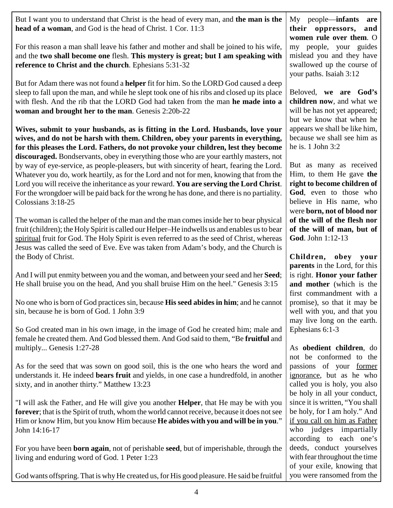| But I want you to understand that Christ is the head of every man, and the man is the<br>head of a woman, and God is the head of Christ. 1 Cor. 11:3                                                                                                                                                                                                                                                                                                                                       | My people—infants<br>are<br>their<br>oppressors,<br>and<br>women rule over them. O                                                                                                   |
|--------------------------------------------------------------------------------------------------------------------------------------------------------------------------------------------------------------------------------------------------------------------------------------------------------------------------------------------------------------------------------------------------------------------------------------------------------------------------------------------|--------------------------------------------------------------------------------------------------------------------------------------------------------------------------------------|
| For this reason a man shall leave his father and mother and shall be joined to his wife,<br>and the two shall become one flesh. This mystery is great; but I am speaking with<br>reference to Christ and the church. Ephesians 5:31-32                                                                                                                                                                                                                                                     | my people, your guides<br>mislead you and they have<br>swallowed up the course of<br>your paths. Isaiah 3:12                                                                         |
| But for Adam there was not found a helper fit for him. So the LORD God caused a deep<br>sleep to fall upon the man, and while he slept took one of his ribs and closed up its place<br>with flesh. And the rib that the LORD God had taken from the man he made into a<br>woman and brought her to the man. Genesis 2:20b-22                                                                                                                                                               | Beloved, we are God's<br>children now, and what we<br>will be has not yet appeared;<br>but we know that when he                                                                      |
| Wives, submit to your husbands, as is fitting in the Lord. Husbands, love your<br>wives, and do not be harsh with them. Children, obey your parents in everything,<br>for this pleases the Lord. Fathers, do not provoke your children, lest they become                                                                                                                                                                                                                                   | appears we shall be like him,<br>because we shall see him as<br>he is. $1$ John $3:2$                                                                                                |
| discouraged. Bondservants, obey in everything those who are your earthly masters, not<br>by way of eye-service, as people-pleasers, but with sincerity of heart, fearing the Lord.<br>Whatever you do, work heartily, as for the Lord and not for men, knowing that from the<br>Lord you will receive the inheritance as your reward. You are serving the Lord Christ.<br>For the wrongdoer will be paid back for the wrong he has done, and there is no partiality.<br>Colossians 3:18-25 | But as many as received<br>Him, to them He gave the<br>right to become children of<br>God, even to those who<br>believe in His name, who                                             |
| The woman is called the helper of the man and the man comes inside her to bear physical<br>fruit (children); the Holy Spirit is called our Helper-He indwells us and enables us to bear<br>spiritual fruit for God. The Holy Spirit is even referred to as the seed of Christ, whereas<br>Jesus was called the seed of Eve. Eve was taken from Adam's body, and the Church is                                                                                                              | were born, not of blood nor<br>of the will of the flesh nor<br>of the will of man, but of<br>God. John 1:12-13                                                                       |
| the Body of Christ.                                                                                                                                                                                                                                                                                                                                                                                                                                                                        | Children, obey your<br>parents in the Lord, for this                                                                                                                                 |
| And I will put enmity between you and the woman, and between your seed and her Seed;<br>He shall bruise you on the head, And you shall bruise Him on the heel." Genesis 3:15                                                                                                                                                                                                                                                                                                               | is right. Honor your father<br>and mother (which is the<br>first commandment with a                                                                                                  |
| No one who is born of God practices sin, because <b>His seed abides in him</b> ; and he cannot<br>sin, because he is born of God. 1 John 3:9                                                                                                                                                                                                                                                                                                                                               | promise), so that it may be<br>well with you, and that you<br>may live long on the earth.                                                                                            |
| So God created man in his own image, in the image of God he created him; male and<br>female he created them. And God blessed them. And God said to them, "Be fruitful and<br>multiply Genesis 1:27-28                                                                                                                                                                                                                                                                                      | Ephesians 6:1-3<br>As obedient children, do                                                                                                                                          |
| As for the seed that was sown on good soil, this is the one who hears the word and<br>understands it. He indeed bears fruit and yields, in one case a hundredfold, in another<br>sixty, and in another thirty." Matthew 13:23                                                                                                                                                                                                                                                              | not be conformed to the<br>passions of your former<br>ignorance, but as he who<br>called you is holy, you also                                                                       |
| "I will ask the Father, and He will give you another <b>Helper</b> , that He may be with you<br>forever; that is the Spirit of truth, whom the world cannot receive, because it does not see<br>Him or know Him, but you know Him because He abides with you and will be in you."<br>John 14:16-17                                                                                                                                                                                         | be holy in all your conduct,<br>since it is written, "You shall<br>be holy, for I am holy." And<br>if you call on him as Father<br>who judges impartially<br>according to each one's |
| For you have been <b>born again</b> , not of perishable seed, but of imperishable, through the<br>living and enduring word of God. 1 Peter 1:23                                                                                                                                                                                                                                                                                                                                            | deeds, conduct yourselves<br>with fear throughout the time<br>of your exile, knowing that                                                                                            |
| God wants offspring. That is why He created us, for His good pleasure. He said be fruitful                                                                                                                                                                                                                                                                                                                                                                                                 | you were ransomed from the                                                                                                                                                           |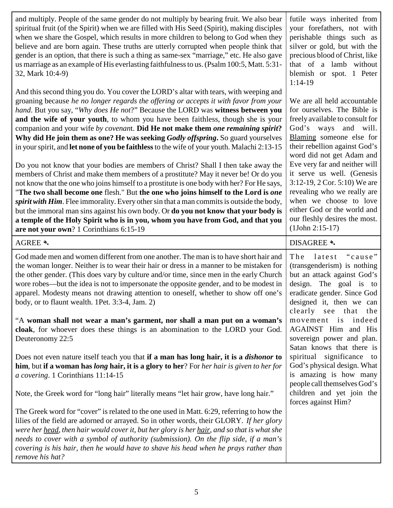| and multiply. People of the same gender do not multiply by bearing fruit. We also bear<br>spiritual fruit (of the Spirit) when we are filled with His Seed (Spirit), making disciples<br>when we share the Gospel, which results in more children to belong to God when they<br>believe and are born again. These truths are utterly corrupted when people think that<br>gender is an option, that there is such a thing as same-sex "marriage," etc. He also gave<br>us marriage as an example of His everlasting faithfulness to us. (Psalm 100:5, Matt. 5:31-<br>32, Mark 10:4-9)                                                                                                                                                                                                                                                                                                                                                                                                                                                                                                                                                                                                                                                                                                                         | futile ways inherited from<br>your forefathers, not with<br>perishable things such as<br>silver or gold, but with the<br>precious blood of Christ, like<br>that of a lamb without<br>blemish or spot. 1 Peter<br>$1:14-19$                                                                                                                                                                                                                                    |
|--------------------------------------------------------------------------------------------------------------------------------------------------------------------------------------------------------------------------------------------------------------------------------------------------------------------------------------------------------------------------------------------------------------------------------------------------------------------------------------------------------------------------------------------------------------------------------------------------------------------------------------------------------------------------------------------------------------------------------------------------------------------------------------------------------------------------------------------------------------------------------------------------------------------------------------------------------------------------------------------------------------------------------------------------------------------------------------------------------------------------------------------------------------------------------------------------------------------------------------------------------------------------------------------------------------|---------------------------------------------------------------------------------------------------------------------------------------------------------------------------------------------------------------------------------------------------------------------------------------------------------------------------------------------------------------------------------------------------------------------------------------------------------------|
| And this second thing you do. You cover the LORD's altar with tears, with weeping and<br>groaning because he no longer regards the offering or accepts it with favor from your<br>hand. But you say, "Why does He not?" Because the LORD was witness between you<br>and the wife of your youth, to whom you have been faithless, though she is your<br>companion and your wife by covenant. Did He not make them one remaining spirit?<br>Why did He join them as one? He was seeking Godly offspring. So guard yourselves<br>in your spirit, and let none of you be faithless to the wife of your youth. Malachi 2:13-15<br>Do you not know that your bodies are members of Christ? Shall I then take away the<br>members of Christ and make them members of a prostitute? May it never be! Or do you<br>not know that the one who joins himself to a prostitute is one body with her? For He says,<br>"The two shall become one flesh." But the one who joins himself to the Lord is one<br>spirit with Him. Flee immorality. Every other sin that a man commits is outside the body,<br>but the immoral man sins against his own body. Or do you not know that your body is<br>a temple of the Holy Spirit who is in you, whom you have from God, and that you<br>are not your own? 1 Corinthians 6:15-19 | We are all held accountable<br>for ourselves. The Bible is<br>freely available to consult for<br>God's ways and will.<br>Blaming someone else for<br>their rebellion against God's<br>word did not get Adam and<br>Eve very far and neither will<br>it serve us well. (Genesis<br>3:12-19, 2 Cor. 5:10) We are<br>revealing who we really are<br>when we choose to love<br>either God or the world and<br>our fleshly desires the most.<br>$(1$ John 2:15-17) |
| <b>AGREE</b>                                                                                                                                                                                                                                                                                                                                                                                                                                                                                                                                                                                                                                                                                                                                                                                                                                                                                                                                                                                                                                                                                                                                                                                                                                                                                                 | <b>DISAGREE</b>                                                                                                                                                                                                                                                                                                                                                                                                                                               |
|                                                                                                                                                                                                                                                                                                                                                                                                                                                                                                                                                                                                                                                                                                                                                                                                                                                                                                                                                                                                                                                                                                                                                                                                                                                                                                              |                                                                                                                                                                                                                                                                                                                                                                                                                                                               |
| God made men and women different from one another. The man is to have short hair and<br>the woman longer. Neither is to wear their hair or dress in a manner to be mistaken for<br>the other gender. (This does vary by culture and/or time, since men in the early Church<br>wore robes—but the idea is not to impersonate the opposite gender, and to be modest in<br>apparel. Modesty means not drawing attention to oneself, whether to show off one's<br>body, or to flaunt wealth. 1Pet. 3:3-4, Jam. 2)                                                                                                                                                                                                                                                                                                                                                                                                                                                                                                                                                                                                                                                                                                                                                                                                | "cause"<br>The<br>latest<br>(transgenderism) is nothing<br>but an attack against God's<br>design. The goal is to<br>eradicate gender. Since God<br>designed it, then we can                                                                                                                                                                                                                                                                                   |
| "A woman shall not wear a man's garment, nor shall a man put on a woman's<br>cloak, for whoever does these things is an abomination to the LORD your God.<br>Deuteronomy 22:5                                                                                                                                                                                                                                                                                                                                                                                                                                                                                                                                                                                                                                                                                                                                                                                                                                                                                                                                                                                                                                                                                                                                | clearly see<br>that<br>the<br>indeed<br>movement is<br>AGAINST Him and His<br>sovereign power and plan.<br>Satan knows that there is                                                                                                                                                                                                                                                                                                                          |
| Does not even nature itself teach you that if a man has long hair, it is a <i>dishonor</i> to<br>him, but if a woman has long hair, it is a glory to her? For her hair is given to her for<br>a covering. 1 Corinthians 11:14-15                                                                                                                                                                                                                                                                                                                                                                                                                                                                                                                                                                                                                                                                                                                                                                                                                                                                                                                                                                                                                                                                             | spiritual significance to<br>God's physical design. What<br>is amazing is how many                                                                                                                                                                                                                                                                                                                                                                            |
| Note, the Greek word for "long hair" literally means "let hair grow, have long hair."                                                                                                                                                                                                                                                                                                                                                                                                                                                                                                                                                                                                                                                                                                                                                                                                                                                                                                                                                                                                                                                                                                                                                                                                                        | people call themselves God's<br>children and yet join the<br>forces against Him?                                                                                                                                                                                                                                                                                                                                                                              |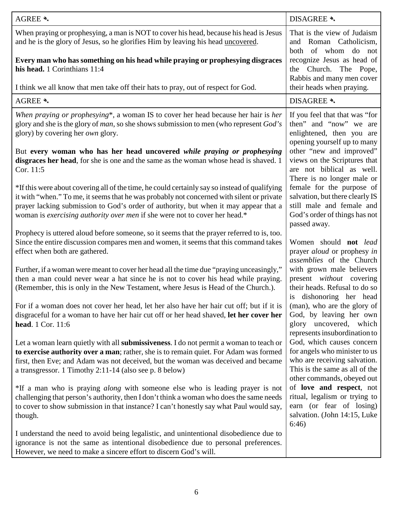| AGREE ₹                                                                                                                                                                                                                                                                                                                                                          | <b>DISAGREE</b>                                                                                                                                                  |
|------------------------------------------------------------------------------------------------------------------------------------------------------------------------------------------------------------------------------------------------------------------------------------------------------------------------------------------------------------------|------------------------------------------------------------------------------------------------------------------------------------------------------------------|
| When praying or prophesying, a man is NOT to cover his head, because his head is Jesus<br>and he is the glory of Jesus, so he glorifies Him by leaving his head uncovered.<br>Every man who has something on his head while praying or prophesying disgraces<br>his head. 1 Corinthians 11:4                                                                     | That is the view of Judaism<br>and Roman Catholicism,<br>both of whom do not<br>recognize Jesus as head of<br>the Church. The Pope,<br>Rabbis and many men cover |
| I think we all know that men take off their hats to pray, out of respect for God.                                                                                                                                                                                                                                                                                | their heads when praying.                                                                                                                                        |
| <b>AGREE</b>                                                                                                                                                                                                                                                                                                                                                     | <b>DISAGREE</b>                                                                                                                                                  |
| When praying or prophesying*, a woman IS to cover her head because her hair is her<br>glory and she is the glory of man, so she shows submission to men (who represent God's<br>glory) by covering her own glory.                                                                                                                                                | If you feel that that was "for<br>then" and "now" we are<br>enlightened, then you are<br>opening yourself up to many                                             |
| But every woman who has her head uncovered while praying or prophesying<br>disgraces her head, for she is one and the same as the woman whose head is shaved. 1<br>Cor. 11:5                                                                                                                                                                                     | other "new and improved"<br>views on the Scriptures that<br>are not biblical as well.<br>There is no longer male or                                              |
| *If this were about covering all of the time, he could certainly say so instead of qualifying<br>it with "when." To me, it seems that he was probably not concerned with silent or private<br>prayer lacking submission to God's order of authority, but when it may appear that a<br>woman is exercising authority over men if she were not to cover her head.* | female for the purpose of<br>salvation, but there clearly IS<br>still male and female and<br>God's order of things has not<br>passed away.                       |
| Prophecy is uttered aloud before someone, so it seems that the prayer referred to is, too.<br>Since the entire discussion compares men and women, it seems that this command takes<br>effect when both are gathered.                                                                                                                                             | Women should not lead<br>prayer <i>aloud</i> or prophesy in<br>assemblies of the Church                                                                          |
| Further, if a woman were meant to cover her head all the time due "praying unceasingly,"<br>then a man could never wear a hat since he is not to cover his head while praying.<br>(Remember, this is only in the New Testament, where Jesus is Head of the Church.).                                                                                             | with grown male believers<br>present <i>without</i> covering<br>their heads. Refusal to do so<br>is dishonoring her head                                         |
| For if a woman does not cover her head, let her also have her hair cut off; but if it is<br>disgraceful for a woman to have her hair cut off or her head shaved, let her cover her<br>head. 1 Cor. 11:6                                                                                                                                                          | (man), who are the glory of<br>God, by leaving her own<br>glory uncovered, which<br>represents insubordination to                                                |
| Let a woman learn quietly with all <b>submissiveness</b> . I do not permit a woman to teach or<br>to exercise authority over a man; rather, she is to remain quiet. For Adam was formed<br>first, then Eve; and Adam was not deceived, but the woman was deceived and became<br>a transgressor. 1 Timothy 2:11-14 (also see p. 8 below)                          | God, which causes concern<br>for angels who minister to us<br>who are receiving salvation.<br>This is the same as all of the<br>other commands, obeyed out       |
| *If a man who is praying <i>along</i> with someone else who is leading prayer is not<br>challenging that person's authority, then I don't think a woman who does the same needs<br>to cover to show submission in that instance? I can't honestly say what Paul would say,<br>though.                                                                            | of love and respect, not<br>ritual, legalism or trying to<br>earn (or fear of losing)<br>salvation. (John 14:15, Luke<br>6:46                                    |
| I understand the need to avoid being legalistic, and unintentional disobedience due to<br>ignorance is not the same as intentional disobedience due to personal preferences.<br>However, we need to make a sincere effort to discern God's will.                                                                                                                 |                                                                                                                                                                  |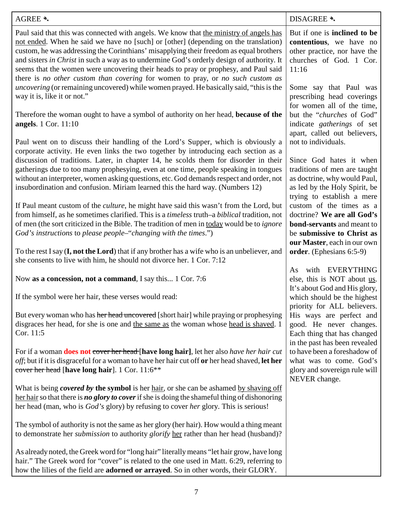| AGREE                                                                                                                                                                                                                                                                                                                                                                                                                                                                                                                                                                                                                                           | <b>DISAGREE</b>                                                                                                                                              |
|-------------------------------------------------------------------------------------------------------------------------------------------------------------------------------------------------------------------------------------------------------------------------------------------------------------------------------------------------------------------------------------------------------------------------------------------------------------------------------------------------------------------------------------------------------------------------------------------------------------------------------------------------|--------------------------------------------------------------------------------------------------------------------------------------------------------------|
| Paul said that this was connected with angels. We know that the ministry of angels has<br>not ended. When he said we have no [such] or [other] (depending on the translation)<br>custom, he was addressing the Corinthians' misapplying their freedom as equal brothers<br>and sisters in Christ in such a way as to undermine God's orderly design of authority. It<br>seems that the women were uncovering their heads to pray or prophesy, and Paul said<br>there is no other custom than covering for women to pray, or no such custom as<br><i>uncovering</i> (or remaining uncovered) while women prayed. He basically said, "this is the | But if one is <b>inclined to be</b><br>contentious, we have no<br>other practice, nor have the<br>churches of God. 1 Cor.<br>11:16<br>Some say that Paul was |
| way it is, like it or not."<br>Therefore the woman ought to have a symbol of authority on her head, because of the                                                                                                                                                                                                                                                                                                                                                                                                                                                                                                                              | prescribing head coverings<br>for women all of the time,<br>but the "churches of God"                                                                        |
| angels. 1 Cor. 11:10                                                                                                                                                                                                                                                                                                                                                                                                                                                                                                                                                                                                                            | indicate gatherings of set<br>apart, called out believers,                                                                                                   |
| Paul went on to discuss their handling of the Lord's Supper, which is obviously a<br>corporate activity. He even links the two together by introducing each section as a<br>discussion of traditions. Later, in chapter 14, he scolds them for disorder in their                                                                                                                                                                                                                                                                                                                                                                                | not to individuals.<br>Since God hates it when                                                                                                               |
| gatherings due to too many prophesying, even at one time, people speaking in tongues<br>without an interpreter, women asking questions, etc. God demands respect and order, not<br>insubordination and confusion. Miriam learned this the hard way. (Numbers 12)                                                                                                                                                                                                                                                                                                                                                                                | traditions of men are taught<br>as doctrine, why would Paul,<br>as led by the Holy Spirit, be<br>trying to establish a mere                                  |
| If Paul meant custom of the <i>culture</i> , he might have said this wasn't from the Lord, but<br>from himself, as he sometimes clarified. This is a <i>timeless</i> truth–a <i>biblical</i> tradition, not<br>of men (the sort criticized in the Bible. The tradition of men in today would be to <i>ignore</i><br>God's instructions to please people–"changing with the times.")                                                                                                                                                                                                                                                             | custom of the times as a<br>doctrine? We are all God's<br><b>bond-servants</b> and meant to<br>be submissive to Christ as                                    |
| To the rest I say $(I, not the Lord)$ that if any brother has a wife who is an unbeliever, and<br>she consents to live with him, he should not divorce her. 1 Cor. 7:12                                                                                                                                                                                                                                                                                                                                                                                                                                                                         | our Master, each in our own<br>order. (Ephesians 6:5-9)                                                                                                      |
| Now as a concession, not a command, I say this 1 Cor. 7:6                                                                                                                                                                                                                                                                                                                                                                                                                                                                                                                                                                                       | with EVERYTHING<br>As<br>else, this is NOT about us.                                                                                                         |
| If the symbol were her hair, these verses would read:                                                                                                                                                                                                                                                                                                                                                                                                                                                                                                                                                                                           | It's about God and His glory,<br>which should be the highest<br>priority for ALL believers.                                                                  |
| But every woman who has her head uncovered [short hair] while praying or prophesying<br>disgraces her head, for she is one and the same as the woman whose head is shaved. 1<br>Cor. 11:5                                                                                                                                                                                                                                                                                                                                                                                                                                                       | His ways are perfect and<br>good. He never changes.<br>Each thing that has changed<br>in the past has been revealed                                          |
| For if a woman <b>does not cover her head</b> [have long hair], let her also have her hair cut<br>off; but if it is disgraceful for a woman to have her hair cut off or her head shaved, let her<br>cover her head [have long hair]. 1 Cor. 11:6**                                                                                                                                                                                                                                                                                                                                                                                              | to have been a foreshadow of<br>what was to come. God's<br>glory and sovereign rule will<br>NEVER change.                                                    |
| What is being <i>covered by</i> the symbol is her hair, or she can be ashamed by shaving off<br>her hair so that there is <b>no glory to cover</b> if she is doing the shameful thing of dishonoring<br>her head (man, who is <i>God's</i> glory) by refusing to cover <i>her</i> glory. This is serious!                                                                                                                                                                                                                                                                                                                                       |                                                                                                                                                              |
| The symbol of authority is not the same as her glory (her hair). How would a thing meant<br>to demonstrate her <i>submission</i> to authority <i>glorify</i> her rather than her head (husband)?                                                                                                                                                                                                                                                                                                                                                                                                                                                |                                                                                                                                                              |
| As already noted, the Greek word for "long hair" literally means "let hair grow, have long<br>hair." The Greek word for "cover" is related to the one used in Matt. 6:29, referring to<br>how the lilies of the field are adorned or arrayed. So in other words, their GLORY.                                                                                                                                                                                                                                                                                                                                                                   |                                                                                                                                                              |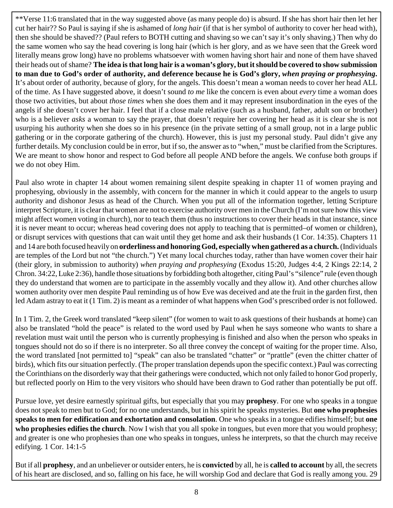\*\*Verse 11:6 translated that in the way suggested above (as many people do) is absurd. If she has short hair then let her cut her hair?? So Paul is saying if she is ashamed of *long hair* (if that is her symbol of authority to cover her head with), then she should be shaved?? (Paul refers to BOTH cutting and shaving so we can't say it's only shaving.) Then why do the same women who say the head covering is long hair (which is her glory, and as we have seen that the Greek word literally means grow long) have no problems whatsoever with women having short hair and none of them have shaved their heads out of shame? **The idea is that long hair is a woman's glory, but it should be covered to show submission to man due to God's order of authority, and deference because he is God's glory,** *when praying or prophesying***.** It's about order of authority, because of glory, for the angels. This doesn't mean a woman needs to cover her head ALL of the time. As I have suggested above, it doesn't sound *to me* like the concern is even about *every* time a woman does those two activities, but about *those times* when she does them and it may represent insubordination in the eyes of the angels if she doesn't cover her hair. I feel that if a close male relative (such as a husband, father, adult son or brother) who is a believer *asks* a woman to say the prayer, that doesn't require her covering her head as it is clear she is not usurping his authority when she does so in his presence (in the private setting of a small group, not in a large public gathering or in the corporate gathering of the church). However, this is just my personal study. Paul didn't give any further details. My conclusion could be in error, but if so, the answer as to "when," must be clarified from the Scriptures. We are meant to show honor and respect to God before all people AND before the angels. We confuse both groups if we do not obey Him.

Paul also wrote in chapter 14 about women remaining silent despite speaking in chapter 11 of women praying and prophesying, obviously in the assembly, with concern for the manner in which it could appear to the angels to usurp authority and dishonor Jesus as head of the Church. When you put all of the information together, letting Scripture interpret Scripture, it is clear that women are not to exercise authority over men in the Church (I'm not sure how this view might affect women voting in church), nor to teach them (thus no instructions to cover their heads in that instance, since it is never meant to occur; whereas head covering does not apply to teaching that is permitted–of women or children), or disrupt services with questions that can wait until they get home and ask their husbands (1 Cor. 14:35). Chapters 11 and 14 are both focused heavily on **orderliness and honoring God, especially when gathered as a church.** (Individuals are temples of the Lord but not "the church.") Yet many local churches today, rather than have women cover their hair (their glory, in submission to authority) *when praying and prophesying* (Exodus 15:20, Judges 4:4, 2 Kings 22:14, 2 Chron. 34:22, Luke 2:36), handle those situations by forbidding both altogether, citing Paul's "silence" rule (even though they do understand that women are to participate in the assembly vocally and they allow it). And other churches allow women authority over men despite Paul reminding us of how Eve was deceived and ate the fruit in the garden first, then led Adam astray to eat it (1 Tim. 2) is meant as a reminder of what happens when God's prescribed order is not followed.

In 1 Tim. 2, the Greek word translated "keep silent" (for women to wait to ask questions of their husbands at home) can also be translated "hold the peace" is related to the word used by Paul when he says someone who wants to share a revelation must wait until the person who is currently prophesying is finished and also when the person who speaks in tongues should not do so if there is no interpreter. So all three convey the concept of waiting for the proper time. Also, the word translated [not permitted to] "speak" can also be translated "chatter" or "prattle" (even the chitter chatter of birds), which fits our situation perfectly. (The proper translation depends upon the specific context.) Paul was correcting the Corinthians on the disorderly way that their gatherings were conducted, which not only failed to honor God properly, but reflected poorly on Him to the very visitors who should have been drawn to God rather than potentially be put off.

Pursue love, yet desire earnestly spiritual gifts, but especially that you may **prophesy**. For one who speaks in a tongue does not speak to men but to God; for no one understands, but in his spirit he speaks mysteries. But **one who prophesies speaks to men for edification and exhortation and consolation**. One who speaks in a tongue edifies himself; but **one who prophesies edifies the church**. Now I wish that you all spoke in tongues, but even more that you would prophesy; and greater is one who prophesies than one who speaks in tongues, unless he interprets, so that the church may receive edifying. 1 Cor. 14:1-5

But if all **prophesy**, and an unbeliever or outsider enters, he is **convicted** by all, he is **called to account** by all, the secrets of his heart are disclosed, and so, falling on his face, he will worship God and declare that God is really among you. 29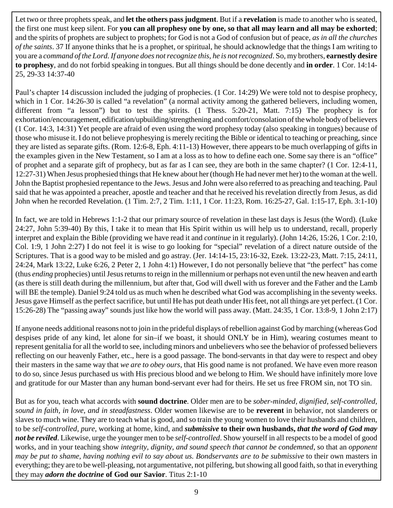Let two or three prophets speak, and **let the others pass judgment**. But if a **revelation** is made to another who is seated, the first one must keep silent. For **you can all prophesy one by one, so that all may learn and all may be exhorted**; and the spirits of prophets are subject to prophets; for God is not a God of confusion but of peace, *as in all the churches of the saints*. 37 If anyone thinks that he is a prophet, or spiritual, he should acknowledge that the things I am writing to you are a *command of the Lord. If anyone does not recognize this, he is not recognized*. So, my brothers, **earnestly desire to prophesy**, and do not forbid speaking in tongues. But all things should be done decently and **in order**. 1 Cor. 14:14- 25, 29-33 14:37-40

Paul's chapter 14 discussion included the judging of prophecies. (1 Cor. 14:29) We were told not to despise prophecy, which in 1 Cor. 14:26-30 is called "a revelation" (a normal activity among the gathered believers, including women, different from "a lesson") but to test the spirits. (1 Thess. 5:20-21, Matt. 7:15) The prophecy is for exhortation/encouragement, edification/upbuilding/strengthening and comfort/consolation of the whole body of believers (1 Cor. 14:3, 14:31) Yet people are afraid of even using the word prophesy today (also speaking in tongues) because of those who misuse it. I do not believe prophesying is merely reciting the Bible or identical to teaching or preaching, since they are listed as separate gifts. (Rom. 12:6-8, Eph. 4:11-13) However, there appears to be much overlapping of gifts in the examples given in the New Testament, so I am at a loss as to how to define each one. Some say there is an "office" of prophet and a separate gift of prophecy, but as far as I can see, they are both in the same chapter? (1 Cor. 12:4-11, 12:27-31) When Jesus prophesied things that He knew about her (though He had never met her) to the woman at the well. John the Baptist prophesied repentance to the Jews. Jesus and John were also referred to as preaching and teaching. Paul said that he was appointed a preacher, apostle and teacher and that he received his revelation directly from Jesus, as did John when he recorded Revelation. (1 Tim. 2:7, 2 Tim. 1:11, 1 Cor. 11:23, Rom. 16:25-27, Gal. 1:15-17, Eph. 3:1-10)

In fact, we are told in Hebrews 1:1-2 that our primary source of revelation in these last days is Jesus (the Word). (Luke 24:27, John 5:39-40) By this, I take it to mean that His Spirit within us will help us to understand, recall, properly interpret and explain the Bible (providing we have read it and *continue* in it regularly). (John 14:26, 15:26, 1 Cor. 2:10, Col. 1:9, 1 John 2:27) I do not feel it is wise to go looking for "special" revelation of a direct nature outside of the Scriptures. That is a good way to be misled and go astray. (Jer. 14:14-15, 23:16-32, Ezek. 13:22-23, Matt. 7:15, 24:11, 24:24, Mark 13:22, Luke 6:26, 2 Peter 2, 1 John 4:1) However, I do not personally believe that "the perfect" has come (thus *ending* prophecies) until Jesus returns to reign in the millennium or perhaps not even until the new heaven and earth (as there is still death during the millennium, but after that, God will dwell with us forever and the Father and the Lamb will BE the temple). Daniel 9:24 told us as much when he described what God was accomplishing in the seventy weeks. Jesus gave Himself as the perfect sacrifice, but until He has put death under His feet, not all things are yet perfect. (1 Cor. 15:26-28) The "passing away" sounds just like how the world will pass away. (Matt. 24:35, 1 Cor. 13:8-9, 1 John 2:17)

If anyone needs additional reasons not to join in the prideful displays of rebellion against God by marching (whereas God despises pride of any kind, let alone for sin–if we boast, it should ONLY be in Him), wearing costumes meant to represent genitalia for all the world to see, including minors and unbelievers who see the behavior of professed believers reflecting on our heavenly Father, etc., here is a good passage. The bond-servants in that day were to respect and obey their masters in the same way that *we are to obey ours*, that His good name is not profaned. We have even more reason to do so, since Jesus purchased us with His precious blood and we belong to Him. We should have infinitely more love and gratitude for our Master than any human bond-servant ever had for theirs. He set us free FROM sin, not TO sin.

But as for you, teach what accords with **sound doctrine**. Older men are to be *sober-minded, dignified, self-controlled, sound in faith, in love, and in steadfastness*. Older women likewise are to be **reverent** in behavior, not slanderers or slaves to much wine. They are to teach what is good, and so train the young women to love their husbands and children, to be *self-controlled, pure*, working at home, kind, and *submissive* **to their own husbands,** *that the word of God may not be reviled*. Likewise, urge the younger men to be *self-controlled*. Show yourself in all respects to be a model of good works, and in your teaching show *integrity, dignity, and sound speech that cannot be condemned*, so that an *opponent may be put to shame, having nothing evil to say about us. Bondservants are to be submissive* to their own masters in everything; they are to be well-pleasing, not argumentative, not pilfering, but showing all good faith, so that in everything they may *adorn the doctrine* **of God our Savior**. Titus 2:1-10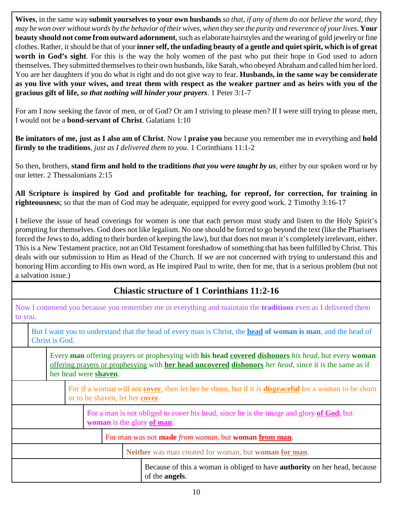**Wives**, in the same way **submit yourselves to your own husbands** *so that, if any of them do not believe the word, they may be won over without words by the behavior of their wives, when they see the purity and reverence of your lives*. **Your beauty should not come from outward adornment**, such as elaborate hairstyles and the wearing of gold jewelry or fine clothes. Rather, it should be that of your **inner self, the unfading beauty of a gentle and quiet spirit, which is of great worth in God's sight**. For this is the way the holy women of the past who put their hope in God used to adorn themselves. They submitted themselves to their own husbands, like Sarah, who obeyed Abraham and called him her lord. You are her daughters if you do what is right and do not give way to fear. **Husbands, in the same way be considerate as you live with your wives, and treat them with respect as the weaker partner and as heirs with you of the gracious gift of life,** *so that nothing will hinder your prayers*. 1 Peter 3:1-7

For am I now seeking the favor of men, or of God? Or am I striving to please men? If I were still trying to please men, I would not be a **bond-servant of Christ**. Galatians 1:10

**Be imitators of me, just as I also am of Christ**. Now I **praise you** because you remember me in everything and **hold firmly to the traditions**, *just as I delivered them to you*. 1 Corinthians 11:1-2

So then, brothers, **stand firm and hold to the traditions** *that you were taught by us*, either by our spoken word or by our letter. 2 Thessalonians 2:15

**All Scripture is inspired by God and profitable for teaching, for reproof, for correction, for training in righteousness**; so that the man of God may be adequate, equipped for every good work. 2 Timothy 3:16-17

I believe the issue of head coverings for women is one that each person must study and listen to the Holy Spirit's prompting for themselves. God does not like legalism. No one should be forced to go beyond the text (like the Pharisees forced the Jews to do, adding to their burden of keeping the law), but that does not mean it's completely irrelevant, either. This is a New Testament practice, not an Old Testament foreshadow of something that has been fulfilled by Christ. This deals with our submission to Him as Head of the Church. If we are not concerned with trying to understand this and honoring Him according to His own word, as He inspired Paul to write, then for me, that is a serious problem (but not a salvation issue.)

## **Chiastic structure of 1 Corinthians 11:2-16**

Now I commend you because you remember me in everything and maintain the **traditions** even as I delivered them to you.

But I want you to understand that the head of every man is Christ, the **head of woman is man**, and the head of Christ is God.

Every **man** offering prayers or prophesying with **his head covered dishonors** *his head*, but every **woman** offering prayers or prophesying with **her head uncovered dishonors** *her head*, since it is the same as if her head were **shaven**.

For if a woman will not **cover**, then let her be shorn, but if it is **disgraceful** for a woman to be shorn or to be shaven, let her **cover**.

For a man is not obliged to cover his head, since he is the image and glory **of God**, but **woman** is the glory **of man**.

For man was not **made** *from woman*, but **woman from man**.

**Neither** was man created for woman, but **woman for man**.

Because of this a woman is obliged to have **authority** on her head, because of the **angels**.